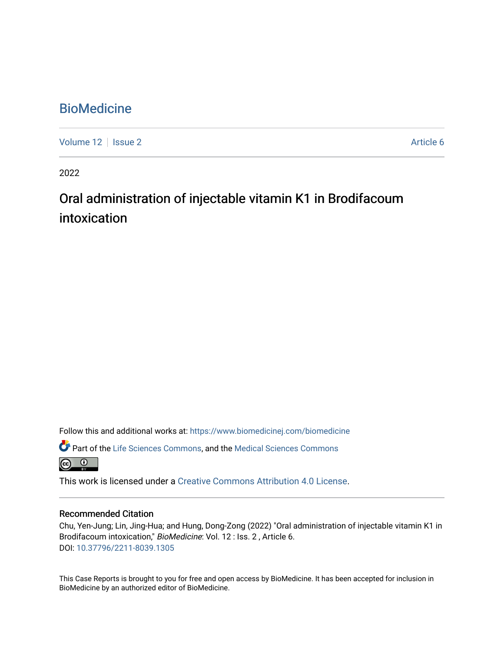# **BioMedicine**

[Volume 12](https://www.biomedicinej.com/biomedicine/vol12) | [Issue 2](https://www.biomedicinej.com/biomedicine/vol12/iss2) Article 6

2022

# Oral administration of injectable vitamin K1 in Brodifacoum intoxication

Follow this and additional works at: [https://www.biomedicinej.com/biomedicine](https://www.biomedicinej.com/biomedicine?utm_source=www.biomedicinej.com%2Fbiomedicine%2Fvol12%2Fiss2%2F6&utm_medium=PDF&utm_campaign=PDFCoverPages)

Part of the [Life Sciences Commons,](https://network.bepress.com/hgg/discipline/1016?utm_source=www.biomedicinej.com%2Fbiomedicine%2Fvol12%2Fiss2%2F6&utm_medium=PDF&utm_campaign=PDFCoverPages) and the [Medical Sciences Commons](https://network.bepress.com/hgg/discipline/664?utm_source=www.biomedicinej.com%2Fbiomedicine%2Fvol12%2Fiss2%2F6&utm_medium=PDF&utm_campaign=PDFCoverPages)

<u>ේ</u>

This work is licensed under a [Creative Commons Attribution 4.0 License](https://creativecommons.org/licenses/by/4.0/).

### Recommended Citation

Chu, Yen-Jung; Lin, Jing-Hua; and Hung, Dong-Zong (2022) "Oral administration of injectable vitamin K1 in Brodifacoum intoxication," BioMedicine: Vol. 12 : Iss. 2 , Article 6. DOI: [10.37796/2211-8039.1305](https://doi.org/10.37796/2211-8039.1305) 

This Case Reports is brought to you for free and open access by BioMedicine. It has been accepted for inclusion in BioMedicine by an authorized editor of BioMedicine.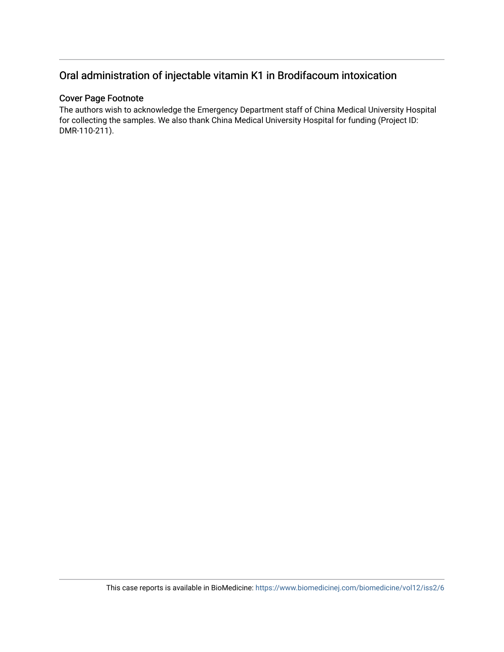## Oral administration of injectable vitamin K1 in Brodifacoum intoxication

## Cover Page Footnote

The authors wish to acknowledge the Emergency Department staff of China Medical University Hospital for collecting the samples. We also thank China Medical University Hospital for funding (Project ID: DMR-110-211).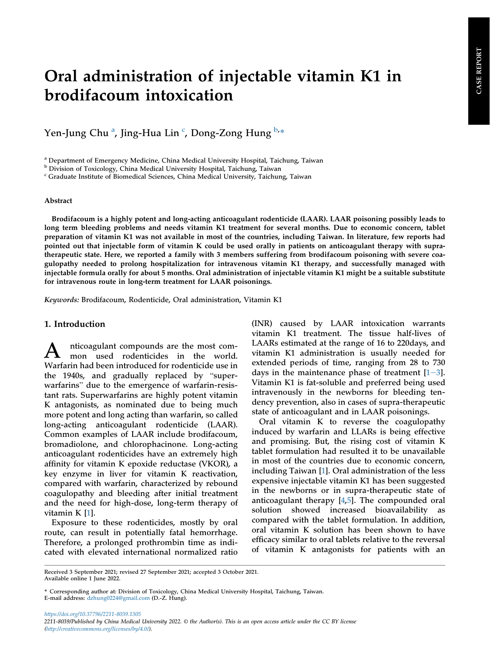# Oral administration of injectable vitamin K1 in brodifacoum intoxication

Yen-Jung Chu <sup>[a](#page-2-0)</sup>, Jing-Hua Lin <sup>[c](#page-2-1)</sup>, Dong-Zong Hung <sup>[b](#page-2-2),</sup>\*

<span id="page-2-0"></span><sup>a</sup> Department of Emergency Medicine, China Medical University Hospital, Taichung, Taiwan

<span id="page-2-2"></span><sup>b</sup> Division of Toxicology, China Medical University Hospital, Taichung, Taiwan

<span id="page-2-1"></span><sup>c</sup> Graduate Institute of Biomedical Sciences, China Medical University, Taichung, Taiwan

#### Abstract

Brodifacoum is a highly potent and long-acting anticoagulant rodenticide (LAAR). LAAR poisoning possibly leads to long term bleeding problems and needs vitamin K1 treatment for several months. Due to economic concern, tablet preparation of vitamin K1 was not available in most of the countries, including Taiwan. In literature, few reports had pointed out that injectable form of vitamin K could be used orally in patients on anticoagulant therapy with supratherapeutic state. Here, we reported a family with 3 members suffering from brodifacoum poisoning with severe coagulopathy needed to prolong hospitalization for intravenous vitamin K1 therapy, and successfully managed with injectable formula orally for about 5 months. Oral administration of injectable vitamin K1 might be a suitable substitute for intravenous route in long-term treatment for LAAR poisonings.

Keywords: Brodifacoum, Rodenticide, Oral administration, Vitamin K1

#### 1. Introduction

A nticoagulant compounds are the most com-<br>mon used rodenticides in the world. Warfarin had been introduced for rodenticide use in **The 1940s, and gradually replaced by "super-**<br>Warfarin had been introduced for rodenticide use in<br>the 1940s, and gradually replaced by "superthe 1940s, and gradually replaced by "super-<br>warfarins" due to the emergence of warfarin-resistant rats. Superwarfarins are highly potent vitamin K antagonists, as nominated due to being much more potent and long acting than warfarin, so called long-acting anticoagulant rodenticide (LAAR). Common examples of LAAR include brodifacoum, bromadiolone, and chlorophacinone. Long-acting anticoagulant rodenticides have an extremely high affinity for vitamin K epoxide reductase (VKOR), a key enzyme in liver for vitamin K reactivation, compared with warfarin, characterized by rebound coagulopathy and bleeding after initial treatment and the need for high-dose, long-term therapy of vitamin K [\[1](#page-4-0)].

Exposure to these rodenticides, mostly by oral route, can result in potentially fatal hemorrhage. Therefore, a prolonged prothrombin time as indicated with elevated international normalized ratio

(INR) caused by LAAR intoxication warrants vitamin K1 treatment. The tissue half-lives of LAARs estimated at the range of 16 to 220days, and vitamin K1 administration is usually needed for extended periods of time, ranging from 28 to 730 days in the maintenance phase of treatment  $[1-3]$  $[1-3]$  $[1-3]$ . Vitamin K1 is fat-soluble and preferred being used intravenously in the newborns for bleeding tendency prevention, also in cases of supra-therapeutic state of anticoagulant and in LAAR poisonings.

Oral vitamin K to reverse the coagulopathy induced by warfarin and LLARs is being effective and promising. But, the rising cost of vitamin K tablet formulation had resulted it to be unavailable in most of the countries due to economic concern, including Taiwan [[1\]](#page-4-0). Oral administration of the less expensive injectable vitamin K1 has been suggested in the newborns or in supra-therapeutic state of anticoagulant therapy [[4,](#page-4-1)[5](#page-4-2)]. The compounded oral solution showed increased bioavailability as compared with the tablet formulation. In addition, oral vitamin K solution has been shown to have efficacy similar to oral tablets relative to the reversal of vitamin K antagonists for patients with an

<https://doi.org/10.37796/2211-8039.1305> 2211-8039/Published by China Medical University 2022. © the Author(s). This is an open access article under the CC BY license [\(http://creativecommons.org/licenses/by/4.0/](http://creativecommons.org/licenses/by/4.0/)).

Received 3 September 2021; revised 27 September 2021; accepted 3 October 2021. Available online 1 June 2022.

<sup>\*</sup> Corresponding author at: Division of Toxicology, China Medical University Hospital, Taichung, Taiwan. E-mail address: [dzhung0224@gmail.com](mailto:dzhung0224@gmail.com) (D.-Z. Hung).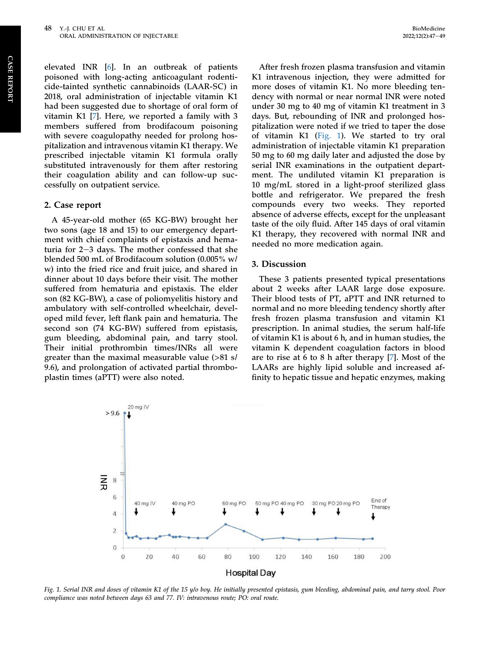elevated INR [\[6](#page-4-3)]. In an outbreak of patients poisoned with long-acting anticoagulant rodenticide-tainted synthetic cannabinoids (LAAR-SC) in 2018, oral administration of injectable vitamin K1 had been suggested due to shortage of oral form of vitamin K1 [\[7](#page-4-4)]. Here, we reported a family with 3 members suffered from brodifacoum poisoning with severe coagulopathy needed for prolong hospitalization and intravenous vitamin K1 therapy. We prescribed injectable vitamin K1 formula orally substituted intravenously for them after restoring their coagulation ability and can follow-up successfully on outpatient service.

#### 2. Case report

A 45-year-old mother (65 KG-BW) brought her two sons (age 18 and 15) to our emergency department with chief complaints of epistaxis and hematuria for  $2-3$  days. The mother confessed that she blended 500 mL of Brodifacoum solution (0.005% w/ w) into the fried rice and fruit juice, and shared in dinner about 10 days before their visit. The mother suffered from hematuria and epistaxis. The elder son (82 KG-BW), a case of poliomyelitis history and ambulatory with self-controlled wheelchair, developed mild fever, left flank pain and hematuria. The second son (74 KG-BW) suffered from epistasis, gum bleeding, abdominal pain, and tarry stool. Their initial prothrombin times/INRs all were greater than the maximal measurable value (>81 s/ 9.6), and prolongation of activated partial thromboplastin times (aPTT) were also noted.

After fresh frozen plasma transfusion and vitamin K1 intravenous injection, they were admitted for more doses of vitamin K1. No more bleeding tendency with normal or near normal INR were noted under 30 mg to 40 mg of vitamin K1 treatment in 3 days. But, rebounding of INR and prolonged hospitalization were noted if we tried to taper the dose of vitamin K1 [\(Fig. 1\)](#page-3-0). We started to try oral administration of injectable vitamin K1 preparation 50 mg to 60 mg daily later and adjusted the dose by serial INR examinations in the outpatient department. The undiluted vitamin K1 preparation is 10 mg/mL stored in a light-proof sterilized glass bottle and refrigerator. We prepared the fresh compounds every two weeks. They reported absence of adverse effects, except for the unpleasant taste of the oily fluid. After 145 days of oral vitamin K1 therapy, they recovered with normal INR and needed no more medication again.

#### 3. Discussion

These 3 patients presented typical presentations about 2 weeks after LAAR large dose exposure. Their blood tests of PT, aPTT and INR returned to normal and no more bleeding tendency shortly after fresh frozen plasma transfusion and vitamin K1 prescription. In animal studies, the serum half-life of vitamin K1 is about 6 h, and in human studies, the vitamin K dependent coagulation factors in blood are to rise at 6 to 8 h after therapy [[7\]](#page-4-4). Most of the LAARs are highly lipid soluble and increased affinity to hepatic tissue and hepatic enzymes, making

<span id="page-3-0"></span>

Fig. 1. Serial INR and doses of vitamin K1 of the 15 y/o boy. He initially presented epistasis, gum bleeding, abdominal pain, and tarry stool. Poor compliance was noted between days 63 and 77. IV: intravenous route; PO: oral route.